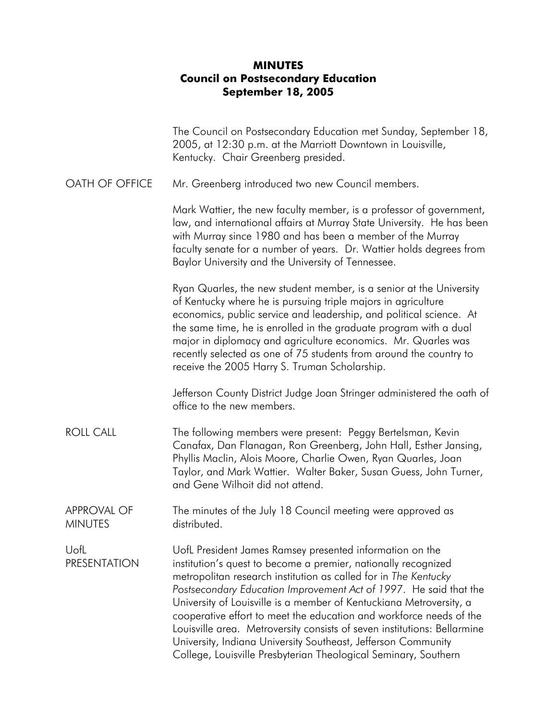## **MINUTES Council on Postsecondary Education September 18, 2005**

|                                      | The Council on Postsecondary Education met Sunday, September 18,<br>2005, at 12:30 p.m. at the Marriott Downtown in Louisville,<br>Kentucky. Chair Greenberg presided.                                                                                                                                                                                                                                                                                                                                                                                                                                                           |
|--------------------------------------|----------------------------------------------------------------------------------------------------------------------------------------------------------------------------------------------------------------------------------------------------------------------------------------------------------------------------------------------------------------------------------------------------------------------------------------------------------------------------------------------------------------------------------------------------------------------------------------------------------------------------------|
| OATH OF OFFICE                       | Mr. Greenberg introduced two new Council members.                                                                                                                                                                                                                                                                                                                                                                                                                                                                                                                                                                                |
|                                      | Mark Wattier, the new faculty member, is a professor of government,<br>law, and international affairs at Murray State University. He has been<br>with Murray since 1980 and has been a member of the Murray<br>faculty senate for a number of years. Dr. Wattier holds degrees from<br>Baylor University and the University of Tennessee.                                                                                                                                                                                                                                                                                        |
|                                      | Ryan Quarles, the new student member, is a senior at the University<br>of Kentucky where he is pursuing triple majors in agriculture<br>economics, public service and leadership, and political science. At<br>the same time, he is enrolled in the graduate program with a dual<br>major in diplomacy and agriculture economics. Mr. Quarles was<br>recently selected as one of 75 students from around the country to<br>receive the 2005 Harry S. Truman Scholarship.                                                                                                                                                         |
|                                      | Jefferson County District Judge Joan Stringer administered the oath of<br>office to the new members.                                                                                                                                                                                                                                                                                                                                                                                                                                                                                                                             |
| <b>ROLL CALL</b>                     | The following members were present: Peggy Bertelsman, Kevin<br>Canafax, Dan Flanagan, Ron Greenberg, John Hall, Esther Jansing,<br>Phyllis Maclin, Alois Moore, Charlie Owen, Ryan Quarles, Joan<br>Taylor, and Mark Wattier. Walter Baker, Susan Guess, John Turner,<br>and Gene Wilhoit did not attend.                                                                                                                                                                                                                                                                                                                        |
| <b>APPROVAL OF</b><br><b>MINUTES</b> | The minutes of the July 18 Council meeting were approved as<br>distributed.                                                                                                                                                                                                                                                                                                                                                                                                                                                                                                                                                      |
| UofL<br><b>PRESENTATION</b>          | UofL President James Ramsey presented information on the<br>institution's quest to become a premier, nationally recognized<br>metropolitan research institution as called for in The Kentucky<br>Postsecondary Education Improvement Act of 1997. He said that the<br>University of Louisville is a member of Kentuckiana Metroversity, a<br>cooperative effort to meet the education and workforce needs of the<br>Louisville area. Metroversity consists of seven institutions: Bellarmine<br>University, Indiana University Southeast, Jefferson Community<br>College, Louisville Presbyterian Theological Seminary, Southern |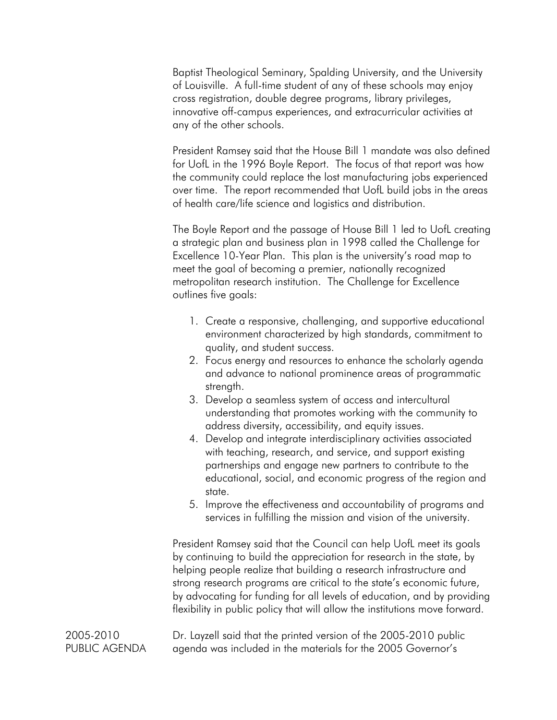Baptist Theological Seminary, Spalding University, and the University of Louisville. A full-time student of any of these schools may enjoy cross registration, double degree programs, library privileges, innovative off-campus experiences, and extracurricular activities at any of the other schools.

President Ramsey said that the House Bill 1 mandate was also defined for UofL in the 1996 Boyle Report. The focus of that report was how the community could replace the lost manufacturing jobs experienced over time. The report recommended that UofL build jobs in the areas of health care/life science and logistics and distribution.

The Boyle Report and the passage of House Bill 1 led to UofL creating a strategic plan and business plan in 1998 called the Challenge for Excellence 10-Year Plan. This plan is the university's road map to meet the goal of becoming a premier, nationally recognized metropolitan research institution. The Challenge for Excellence outlines five goals:

- 1. Create a responsive, challenging, and supportive educational environment characterized by high standards, commitment to quality, and student success.
- 2. Focus energy and resources to enhance the scholarly agenda and advance to national prominence areas of programmatic strength.
- 3. Develop a seamless system of access and intercultural understanding that promotes working with the community to address diversity, accessibility, and equity issues.
- 4. Develop and integrate interdisciplinary activities associated with teaching, research, and service, and support existing partnerships and engage new partners to contribute to the educational, social, and economic progress of the region and state.
- 5. Improve the effectiveness and accountability of programs and services in fulfilling the mission and vision of the university.

President Ramsey said that the Council can help UofL meet its goals by continuing to build the appreciation for research in the state, by helping people realize that building a research infrastructure and strong research programs are critical to the state's economic future, by advocating for funding for all levels of education, and by providing flexibility in public policy that will allow the institutions move forward.

2005-2010 PUBLIC AGENDA Dr. Layzell said that the printed version of the 2005-2010 public agenda was included in the materials for the 2005 Governor's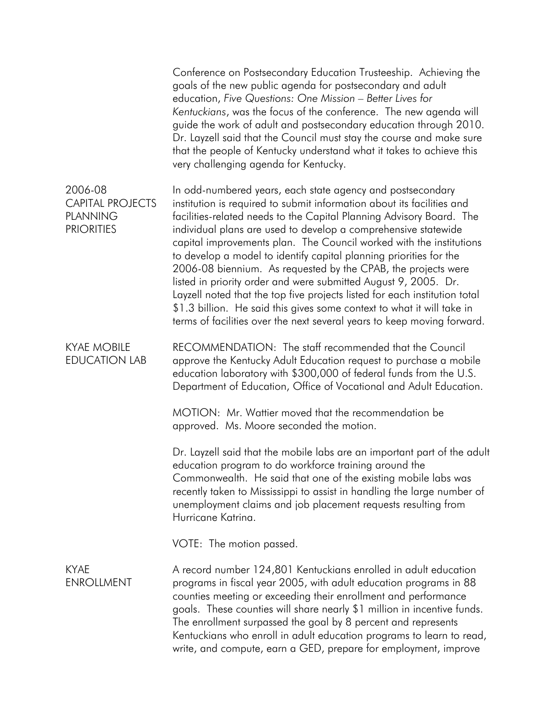|                                                                            | Conference on Postsecondary Education Trusteeship. Achieving the<br>goals of the new public agenda for postsecondary and adult<br>education, Five Questions: One Mission - Better Lives for<br>Kentuckians, was the focus of the conference. The new agenda will<br>guide the work of adult and postsecondary education through 2010.<br>Dr. Layzell said that the Council must stay the course and make sure<br>that the people of Kentucky understand what it takes to achieve this<br>very challenging agenda for Kentucky.                                                                                                                                                                                                                                                                     |
|----------------------------------------------------------------------------|----------------------------------------------------------------------------------------------------------------------------------------------------------------------------------------------------------------------------------------------------------------------------------------------------------------------------------------------------------------------------------------------------------------------------------------------------------------------------------------------------------------------------------------------------------------------------------------------------------------------------------------------------------------------------------------------------------------------------------------------------------------------------------------------------|
| 2006-08<br><b>CAPITAL PROJECTS</b><br><b>PLANNING</b><br><b>PRIORITIES</b> | In odd-numbered years, each state agency and postsecondary<br>institution is required to submit information about its facilities and<br>facilities-related needs to the Capital Planning Advisory Board. The<br>individual plans are used to develop a comprehensive statewide<br>capital improvements plan. The Council worked with the institutions<br>to develop a model to identify capital planning priorities for the<br>2006-08 biennium. As requested by the CPAB, the projects were<br>listed in priority order and were submitted August 9, 2005. Dr.<br>Layzell noted that the top five projects listed for each institution total<br>\$1.3 billion. He said this gives some context to what it will take in<br>terms of facilities over the next several years to keep moving forward. |
| <b>KYAE MOBILE</b><br><b>EDUCATION LAB</b>                                 | RECOMMENDATION: The staff recommended that the Council<br>approve the Kentucky Adult Education request to purchase a mobile<br>education laboratory with \$300,000 of federal funds from the U.S.<br>Department of Education, Office of Vocational and Adult Education.                                                                                                                                                                                                                                                                                                                                                                                                                                                                                                                            |
|                                                                            | MOTION: Mr. Wattier moved that the recommendation be<br>approved. Ms. Moore seconded the motion.                                                                                                                                                                                                                                                                                                                                                                                                                                                                                                                                                                                                                                                                                                   |
|                                                                            | Dr. Layzell said that the mobile labs are an important part of the adult<br>education program to do workforce training around the<br>Commonwealth. He said that one of the existing mobile labs was<br>recently taken to Mississippi to assist in handling the large number of<br>unemployment claims and job placement requests resulting from<br>Hurricane Katrina.                                                                                                                                                                                                                                                                                                                                                                                                                              |
|                                                                            | VOTE: The motion passed.                                                                                                                                                                                                                                                                                                                                                                                                                                                                                                                                                                                                                                                                                                                                                                           |
| <b>KYAE</b><br><b>ENROLLMENT</b>                                           | A record number 124,801 Kentuckians enrolled in adult education<br>programs in fiscal year 2005, with adult education programs in 88<br>counties meeting or exceeding their enrollment and performance<br>goals. These counties will share nearly \$1 million in incentive funds.<br>The enrollment surpassed the goal by 8 percent and represents<br>Kentuckians who enroll in adult education programs to learn to read,<br>write, and compute, earn a GED, prepare for employment, improve                                                                                                                                                                                                                                                                                                      |
|                                                                            |                                                                                                                                                                                                                                                                                                                                                                                                                                                                                                                                                                                                                                                                                                                                                                                                    |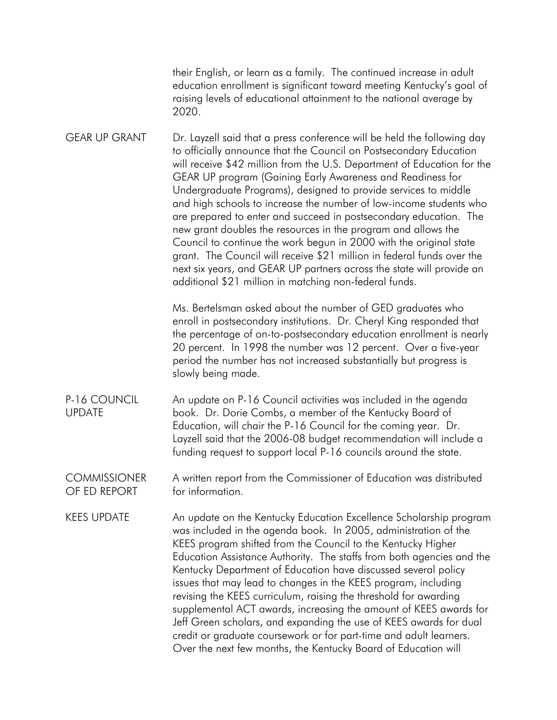their English, or learn as a family. The continued increase in adult education enrollment is significant toward meeting Kentucky's goal of raising levels of educational attainment to the national average by 2020.

GEAR UP GRANT Dr. Layzell said that a press conference will be held the following day to officially announce that the Council on Postsecondary Education will receive \$42 million from the U.S. Department of Education for the GEAR UP program (Gaining Early Awareness and Readiness for Undergraduate Programs), designed to provide services to middle and high schools to increase the number of low-income students who are prepared to enter and succeed in postsecondary education. The new grant doubles the resources in the program and allows the Council to continue the work begun in 2000 with the original state grant. The Council will receive \$21 million in federal funds over the next six years, and GEAR UP partners across the state will provide an additional \$21 million in matching non-federal funds.

> Ms. Bertelsman asked about the number of GED graduates who enroll in postsecondary institutions. Dr. Cheryl King responded that the percentage of on-to-postsecondary education enrollment is nearly 20 percent. In 1998 the number was 12 percent. Over a five-year period the number has not increased substantially but progress is slowly being made.

P-16 COUNCIL UPDATE An update on P-16 Council activities was included in the agenda book. Dr. Dorie Combs, a member of the Kentucky Board of Education, will chair the P-16 Council for the coming year. Dr. Layzell said that the 2006-08 budget recommendation will include a funding request to support local P-16 councils around the state.

**COMMISSIONER** OF ED REPORT A written report from the Commissioner of Education was distributed for information.

KEES UPDATE An update on the Kentucky Education Excellence Scholarship program was included in the agenda book. In 2005, administration of the KEES program shifted from the Council to the Kentucky Higher Education Assistance Authority. The staffs from both agencies and the Kentucky Department of Education have discussed several policy issues that may lead to changes in the KEES program, including revising the KEES curriculum, raising the threshold for awarding supplemental ACT awards, increasing the amount of KEES awards for Jeff Green scholars, and expanding the use of KEES awards for dual credit or graduate coursework or for part-time and adult learners. Over the next few months, the Kentucky Board of Education will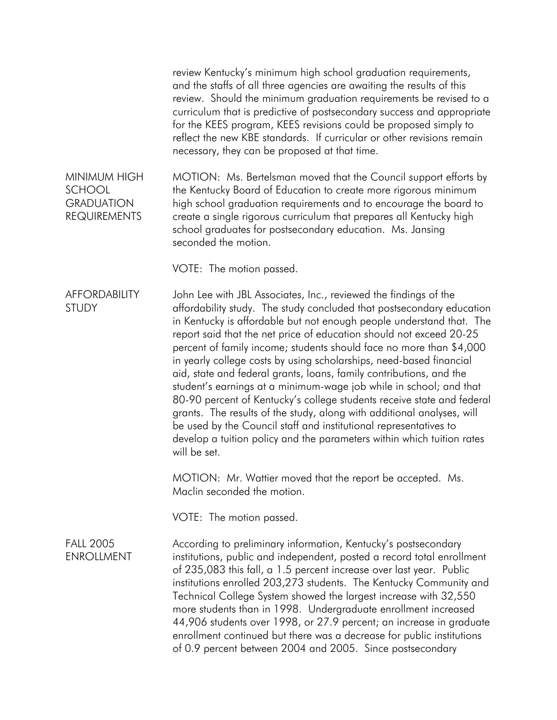review Kentucky's minimum high school graduation requirements, and the staffs of all three agencies are awaiting the results of this review. Should the minimum graduation requirements be revised to a curriculum that is predictive of postsecondary success and appropriate for the KEES program, KEES revisions could be proposed simply to reflect the new KBE standards. If curricular or other revisions remain necessary, they can be proposed at that time.

MINIMUM HIGH SCHOOL **GRADUATION** REQUIREMENTS MOTION: Ms. Bertelsman moved that the Council support efforts by the Kentucky Board of Education to create more rigorous minimum high school graduation requirements and to encourage the board to create a single rigorous curriculum that prepares all Kentucky high school graduates for postsecondary education. Ms. Jansing seconded the motion.

VOTE: The motion passed.

**AFFORDABILITY** STUDY John Lee with JBL Associates, Inc., reviewed the findings of the affordability study. The study concluded that postsecondary education in Kentucky is affordable but not enough people understand that. The report said that the net price of education should not exceed 20-25 percent of family income; students should face no more than \$4,000 in yearly college costs by using scholarships, need-based financial aid, state and federal grants, loans, family contributions, and the student's earnings at a minimum-wage job while in school; and that 80-90 percent of Kentucky's college students receive state and federal grants. The results of the study, along with additional analyses, will be used by the Council staff and institutional representatives to develop a tuition policy and the parameters within which tuition rates will be set.

> MOTION: Mr. Wattier moved that the report be accepted. Ms. Maclin seconded the motion.

VOTE: The motion passed.

## FALL 2005 **ENROLLMENT**

According to preliminary information, Kentucky's postsecondary institutions, public and independent, posted a record total enrollment of 235,083 this fall, a 1.5 percent increase over last year. Public institutions enrolled 203,273 students. The Kentucky Community and Technical College System showed the largest increase with 32,550 more students than in 1998. Undergraduate enrollment increased 44,906 students over 1998, or 27.9 percent; an increase in graduate enrollment continued but there was a decrease for public institutions of 0.9 percent between 2004 and 2005. Since postsecondary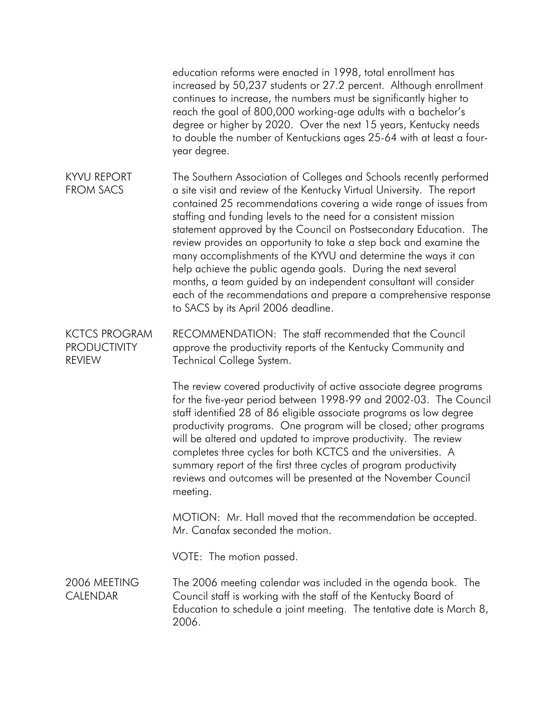education reforms were enacted in 1998, total enrollment has increased by 50,237 students or 27.2 percent. Although enrollment continues to increase, the numbers must be significantly higher to reach the goal of 800,000 working-age adults with a bachelor's degree or higher by 2020. Over the next 15 years, Kentucky needs to double the number of Kentuckians ages 25-64 with at least a fouryear degree. KYVU REPORT FROM SACS The Southern Association of Colleges and Schools recently performed a site visit and review of the Kentucky Virtual University. The report contained 25 recommendations covering a wide range of issues from staffing and funding levels to the need for a consistent mission statement approved by the Council on Postsecondary Education. The review provides an opportunity to take a step back and examine the many accomplishments of the KYVU and determine the ways it can help achieve the public agenda goals. During the next several months, a team guided by an independent consultant will consider each of the recommendations and prepare a comprehensive response to SACS by its April 2006 deadline.

KCTCS PROGRAM PRODUCTIVITY REVIEW RECOMMENDATION: The staff recommended that the Council approve the productivity reports of the Kentucky Community and Technical College System.

> The review covered productivity of active associate degree programs for the five-year period between 1998-99 and 2002-03. The Council staff identified 28 of 86 eligible associate programs as low degree productivity programs. One program will be closed; other programs will be altered and updated to improve productivity. The review completes three cycles for both KCTCS and the universities. A summary report of the first three cycles of program productivity reviews and outcomes will be presented at the November Council meeting.

MOTION: Mr. Hall moved that the recommendation be accepted. Mr. Canafax seconded the motion.

VOTE: The motion passed.

2006 MEETING CALENDAR The 2006 meeting calendar was included in the agenda book. The Council staff is working with the staff of the Kentucky Board of Education to schedule a joint meeting. The tentative date is March 8, 2006.